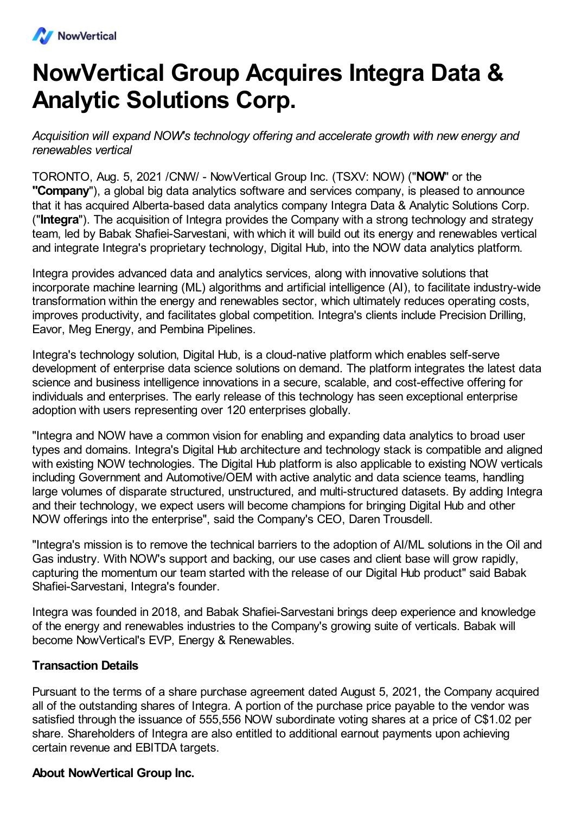

## **NowVertical Group Acquires Integra Data & Analytic Solutions Corp.**

*Acquisition will expand NOW's technology offering and accelerate growth with new energy and renewables vertical*

TORONTO, Aug. 5, 2021 /CNW/ - NowVertical Group Inc. (TSXV: NOW) ("**NOW**" or the **"Company**"), a global big data analytics software and services company, is pleased to announce that it has acquired Alberta-based data analytics company Integra Data & Analytic Solutions Corp. ("**Integra**"). The acquisition of Integra provides the Company with a strong technology and strategy team, led by Babak Shafiei-Sarvestani, with which it will build out its energy and renewables vertical and integrate Integra's proprietary technology, Digital Hub, into the NOW data analytics platform.

Integra provides advanced data and analytics services, along with innovative solutions that incorporate machine learning (ML) algorithms and artificial intelligence (AI), to facilitate industry-wide transformation within the energy and renewables sector, which ultimately reduces operating costs, improves productivity, and facilitates global competition. Integra's clients include Precision Drilling, Eavor, Meg Energy, and Pembina Pipelines.

Integra's technology solution, Digital Hub, is a cloud-native platform which enables self-serve development of enterprise data science solutions on demand. The platform integrates the latest data science and business intelligence innovations in a secure, scalable, and cost-effective offering for individuals and enterprises. The early release of this technology has seen exceptional enterprise adoption with users representing over 120 enterprises globally.

"Integra and NOW have a common vision for enabling and expanding data analytics to broad user types and domains. Integra's Digital Hub architecture and technology stack is compatible and aligned with existing NOW technologies. The Digital Hub platform is also applicable to existing NOW verticals including Government and Automotive/OEM with active analytic and data science teams, handling large volumes of disparate structured, unstructured, and multi-structured datasets. By adding Integra and their technology, we expect users will become champions for bringing Digital Hub and other NOW offerings into the enterprise", said the Company's CEO, Daren Trousdell.

"Integra's mission is to remove the technical barriers to the adoption of AI/ML solutions in the Oil and Gas industry. With NOW's support and backing, our use cases and client base will grow rapidly, capturing the momentum our team started with the release of our Digital Hub product" said Babak Shafiei-Sarvestani, Integra's founder.

Integra was founded in 2018, and Babak Shafiei-Sarvestani brings deep experience and knowledge of the energy and renewables industries to the Company's growing suite of verticals. Babak will become NowVertical's EVP, Energy & Renewables.

## **Transaction Details**

Pursuant to the terms of a share purchase agreement dated August 5, 2021, the Company acquired all of the outstanding shares of Integra. A portion of the purchase price payable to the vendor was satisfied through the issuance of 555,556 NOW subordinate voting shares at a price of C\$1.02 per share. Shareholders of Integra are also entitled to additional earnout payments upon achieving certain revenue and EBITDA targets.

## **About NowVertical Group Inc.**